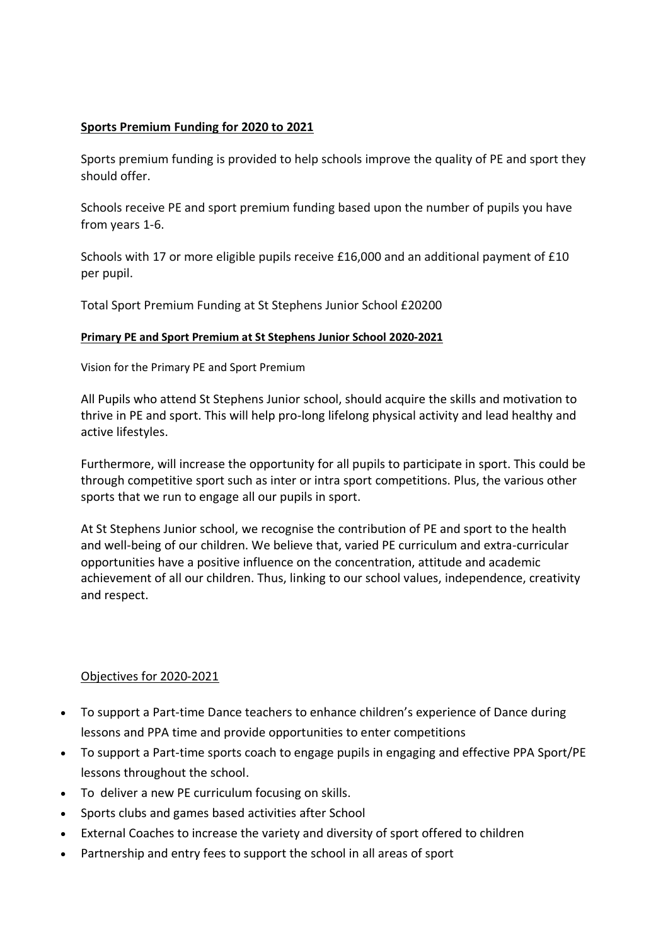## **Sports Premium Funding for 2020 to 2021**

Sports premium funding is provided to help schools improve the quality of PE and sport they should offer.

Schools receive PE and sport premium funding based upon the number of pupils you have from years 1-6.

Schools with 17 or more eligible pupils receive £16,000 and an additional payment of £10 per pupil.

Total Sport Premium Funding at St Stephens Junior School £20200

## **Primary PE and Sport Premium at St Stephens Junior School 2020-2021**

Vision for the Primary PE and Sport Premium

All Pupils who attend St Stephens Junior school, should acquire the skills and motivation to thrive in PE and sport. This will help pro-long lifelong physical activity and lead healthy and active lifestyles.

Furthermore, will increase the opportunity for all pupils to participate in sport. This could be through competitive sport such as inter or intra sport competitions. Plus, the various other sports that we run to engage all our pupils in sport.

At St Stephens Junior school, we recognise the contribution of PE and sport to the health and well-being of our children. We believe that, varied PE curriculum and extra-curricular opportunities have a positive influence on the concentration, attitude and academic achievement of all our children. Thus, linking to our school values, independence, creativity and respect.

## Objectives for 2020-2021

- To support a Part-time Dance teachers to enhance children's experience of Dance during lessons and PPA time and provide opportunities to enter competitions
- To support a Part-time sports coach to engage pupils in engaging and effective PPA Sport/PE lessons throughout the school.
- To deliver a new PE curriculum focusing on skills.
- Sports clubs and games based activities after School
- External Coaches to increase the variety and diversity of sport offered to children
- Partnership and entry fees to support the school in all areas of sport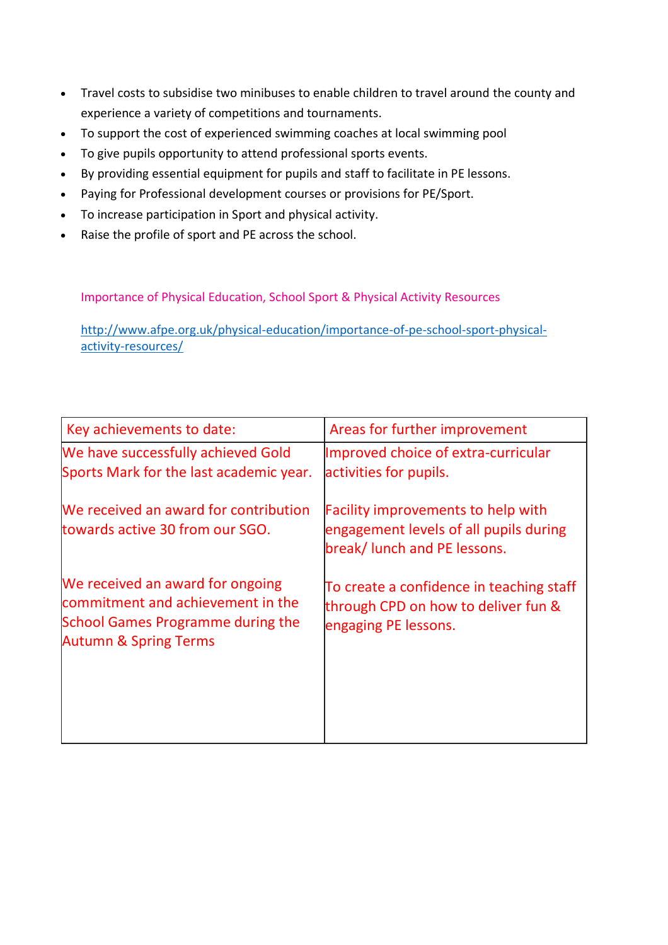- Travel costs to subsidise two minibuses to enable children to travel around the county and experience a variety of competitions and tournaments.
- To support the cost of experienced swimming coaches at local swimming pool
- To give pupils opportunity to attend professional sports events.
- By providing essential equipment for pupils and staff to facilitate in PE lessons.
- Paying for Professional development courses or provisions for PE/Sport.
- To increase participation in Sport and physical activity.
- Raise the profile of sport and PE across the school.

Importance of Physical Education, School Sport & Physical Activity Resources

[http://www.afpe.org.uk/physical-education/importance-of-pe-school-sport-physical](http://www.afpe.org.uk/physical-education/importance-of-pe-school-sport-physical-activity-resources/)[activity-resources/](http://www.afpe.org.uk/physical-education/importance-of-pe-school-sport-physical-activity-resources/)

| Key achievements to date:                                                                                                                             | Areas for further improvement                                                                                       |
|-------------------------------------------------------------------------------------------------------------------------------------------------------|---------------------------------------------------------------------------------------------------------------------|
| We have successfully achieved Gold<br>Sports Mark for the last academic year.                                                                         | Improved choice of extra-curricular<br>activities for pupils.                                                       |
| We received an award for contribution<br>towards active 30 from our SGO.                                                                              | <b>Facility improvements to help with</b><br>engagement levels of all pupils during<br>break/ lunch and PE lessons. |
| We received an award for ongoing<br>commitment and achievement in the<br><b>School Games Programme during the</b><br><b>Autumn &amp; Spring Terms</b> | To create a confidence in teaching staff<br>through CPD on how to deliver fun &<br>engaging PE lessons.             |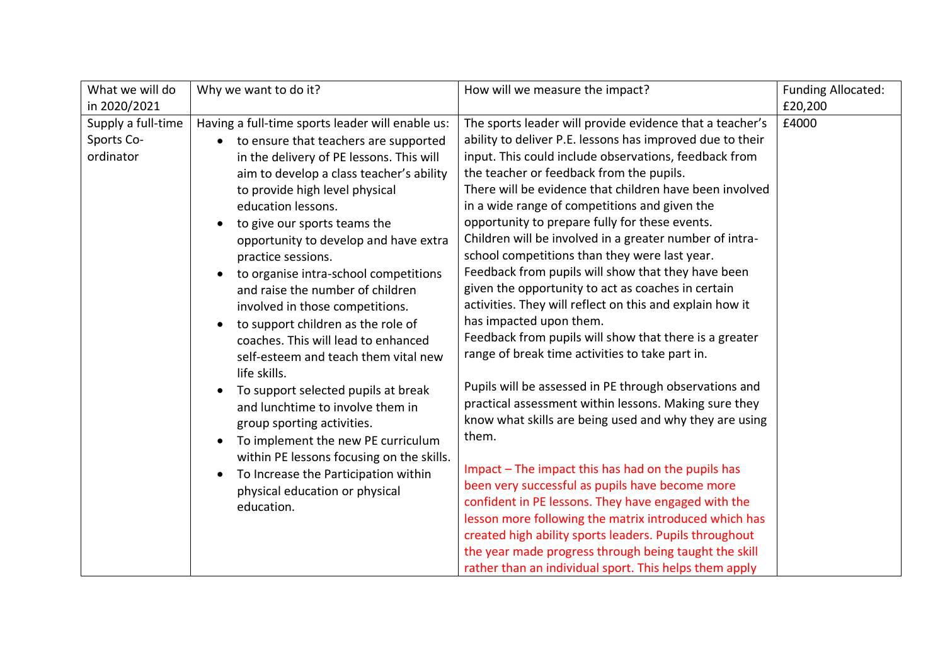| What we will do                               | Why we want to do it?                                                                                                                                                                                                                                                                                                                                                                                                                                                                                                                                                                                                                                                                                                                                                                                                                                                                                                                 | How will we measure the impact?                                                                                                                                                                                                                                                                                                                                                                                                                                                                                                                                                                                                                                                                                                                                                                                                                                                                                                                                                                                                                                                                                                                                                                                                                                                                                                                                                                                  | <b>Funding Allocated:</b> |
|-----------------------------------------------|---------------------------------------------------------------------------------------------------------------------------------------------------------------------------------------------------------------------------------------------------------------------------------------------------------------------------------------------------------------------------------------------------------------------------------------------------------------------------------------------------------------------------------------------------------------------------------------------------------------------------------------------------------------------------------------------------------------------------------------------------------------------------------------------------------------------------------------------------------------------------------------------------------------------------------------|------------------------------------------------------------------------------------------------------------------------------------------------------------------------------------------------------------------------------------------------------------------------------------------------------------------------------------------------------------------------------------------------------------------------------------------------------------------------------------------------------------------------------------------------------------------------------------------------------------------------------------------------------------------------------------------------------------------------------------------------------------------------------------------------------------------------------------------------------------------------------------------------------------------------------------------------------------------------------------------------------------------------------------------------------------------------------------------------------------------------------------------------------------------------------------------------------------------------------------------------------------------------------------------------------------------------------------------------------------------------------------------------------------------|---------------------------|
| in 2020/2021                                  |                                                                                                                                                                                                                                                                                                                                                                                                                                                                                                                                                                                                                                                                                                                                                                                                                                                                                                                                       |                                                                                                                                                                                                                                                                                                                                                                                                                                                                                                                                                                                                                                                                                                                                                                                                                                                                                                                                                                                                                                                                                                                                                                                                                                                                                                                                                                                                                  | £20,200                   |
| Supply a full-time<br>Sports Co-<br>ordinator | Having a full-time sports leader will enable us:<br>to ensure that teachers are supported<br>in the delivery of PE lessons. This will<br>aim to develop a class teacher's ability<br>to provide high level physical<br>education lessons.<br>to give our sports teams the<br>$\bullet$<br>opportunity to develop and have extra<br>practice sessions.<br>to organise intra-school competitions<br>and raise the number of children<br>involved in those competitions.<br>to support children as the role of<br>$\bullet$<br>coaches. This will lead to enhanced<br>self-esteem and teach them vital new<br>life skills.<br>To support selected pupils at break<br>$\bullet$<br>and lunchtime to involve them in<br>group sporting activities.<br>To implement the new PE curriculum<br>within PE lessons focusing on the skills.<br>To Increase the Participation within<br>$\bullet$<br>physical education or physical<br>education. | The sports leader will provide evidence that a teacher's<br>ability to deliver P.E. lessons has improved due to their<br>input. This could include observations, feedback from<br>the teacher or feedback from the pupils.<br>There will be evidence that children have been involved<br>in a wide range of competitions and given the<br>opportunity to prepare fully for these events.<br>Children will be involved in a greater number of intra-<br>school competitions than they were last year.<br>Feedback from pupils will show that they have been<br>given the opportunity to act as coaches in certain<br>activities. They will reflect on this and explain how it<br>has impacted upon them.<br>Feedback from pupils will show that there is a greater<br>range of break time activities to take part in.<br>Pupils will be assessed in PE through observations and<br>practical assessment within lessons. Making sure they<br>know what skills are being used and why they are using<br>them.<br>Impact – The impact this has had on the pupils has<br>been very successful as pupils have become more<br>confident in PE lessons. They have engaged with the<br>lesson more following the matrix introduced which has<br>created high ability sports leaders. Pupils throughout<br>the year made progress through being taught the skill<br>rather than an individual sport. This helps them apply | £4000                     |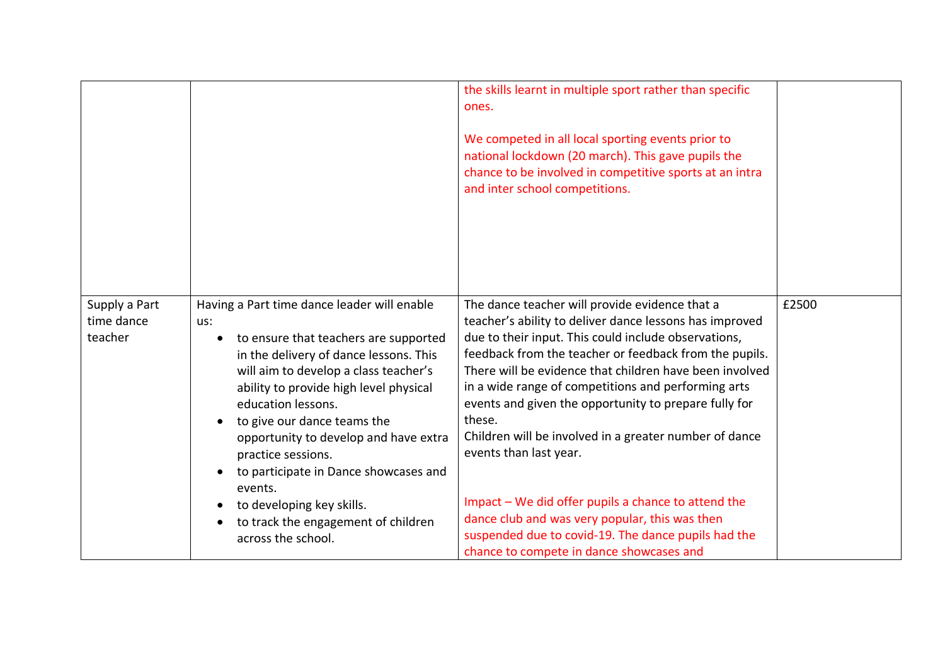|                                        |                                                                                                                                                                                                                                                                                                                                                                                                                                                                                            | the skills learnt in multiple sport rather than specific<br>ones.<br>We competed in all local sporting events prior to<br>national lockdown (20 march). This gave pupils the<br>chance to be involved in competitive sports at an intra<br>and inter school competitions.                                                                                                                                                                                                                                                                                                                                                                                                                                        |       |
|----------------------------------------|--------------------------------------------------------------------------------------------------------------------------------------------------------------------------------------------------------------------------------------------------------------------------------------------------------------------------------------------------------------------------------------------------------------------------------------------------------------------------------------------|------------------------------------------------------------------------------------------------------------------------------------------------------------------------------------------------------------------------------------------------------------------------------------------------------------------------------------------------------------------------------------------------------------------------------------------------------------------------------------------------------------------------------------------------------------------------------------------------------------------------------------------------------------------------------------------------------------------|-------|
| Supply a Part<br>time dance<br>teacher | Having a Part time dance leader will enable<br>us:<br>to ensure that teachers are supported<br>in the delivery of dance lessons. This<br>will aim to develop a class teacher's<br>ability to provide high level physical<br>education lessons.<br>to give our dance teams the<br>opportunity to develop and have extra<br>practice sessions.<br>to participate in Dance showcases and<br>events.<br>to developing key skills.<br>to track the engagement of children<br>across the school. | The dance teacher will provide evidence that a<br>teacher's ability to deliver dance lessons has improved<br>due to their input. This could include observations,<br>feedback from the teacher or feedback from the pupils.<br>There will be evidence that children have been involved<br>in a wide range of competitions and performing arts<br>events and given the opportunity to prepare fully for<br>these.<br>Children will be involved in a greater number of dance<br>events than last year.<br>Impact - We did offer pupils a chance to attend the<br>dance club and was very popular, this was then<br>suspended due to covid-19. The dance pupils had the<br>chance to compete in dance showcases and | £2500 |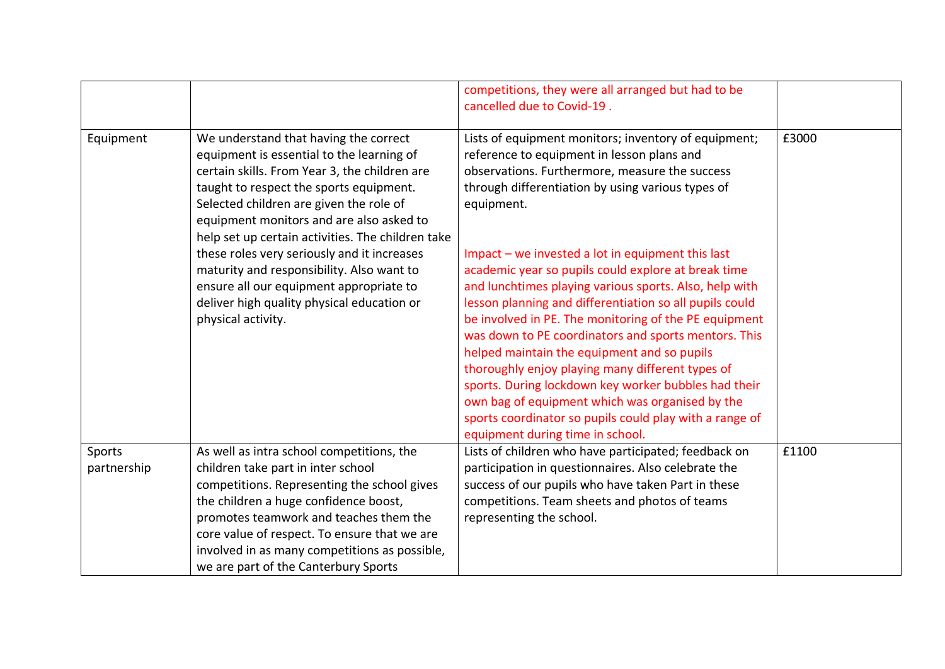|                       |                                                                                                                                                                                                                                                                                                                                                            | competitions, they were all arranged but had to be<br>cancelled due to Covid-19.                                                                                                                                                                                                                                                                                                                                                                                                                                                                                                                                                                            |       |
|-----------------------|------------------------------------------------------------------------------------------------------------------------------------------------------------------------------------------------------------------------------------------------------------------------------------------------------------------------------------------------------------|-------------------------------------------------------------------------------------------------------------------------------------------------------------------------------------------------------------------------------------------------------------------------------------------------------------------------------------------------------------------------------------------------------------------------------------------------------------------------------------------------------------------------------------------------------------------------------------------------------------------------------------------------------------|-------|
| Equipment             | We understand that having the correct<br>equipment is essential to the learning of<br>certain skills. From Year 3, the children are<br>taught to respect the sports equipment.<br>Selected children are given the role of<br>equipment monitors and are also asked to<br>help set up certain activities. The children take                                 | Lists of equipment monitors; inventory of equipment;<br>reference to equipment in lesson plans and<br>observations. Furthermore, measure the success<br>through differentiation by using various types of<br>equipment.                                                                                                                                                                                                                                                                                                                                                                                                                                     | £3000 |
|                       | these roles very seriously and it increases<br>maturity and responsibility. Also want to<br>ensure all our equipment appropriate to<br>deliver high quality physical education or<br>physical activity.                                                                                                                                                    | Impact - we invested a lot in equipment this last<br>academic year so pupils could explore at break time<br>and lunchtimes playing various sports. Also, help with<br>lesson planning and differentiation so all pupils could<br>be involved in PE. The monitoring of the PE equipment<br>was down to PE coordinators and sports mentors. This<br>helped maintain the equipment and so pupils<br>thoroughly enjoy playing many different types of<br>sports. During lockdown key worker bubbles had their<br>own bag of equipment which was organised by the<br>sports coordinator so pupils could play with a range of<br>equipment during time in school. |       |
| Sports<br>partnership | As well as intra school competitions, the<br>children take part in inter school<br>competitions. Representing the school gives<br>the children a huge confidence boost,<br>promotes teamwork and teaches them the<br>core value of respect. To ensure that we are<br>involved in as many competitions as possible,<br>we are part of the Canterbury Sports | Lists of children who have participated; feedback on<br>participation in questionnaires. Also celebrate the<br>success of our pupils who have taken Part in these<br>competitions. Team sheets and photos of teams<br>representing the school.                                                                                                                                                                                                                                                                                                                                                                                                              | £1100 |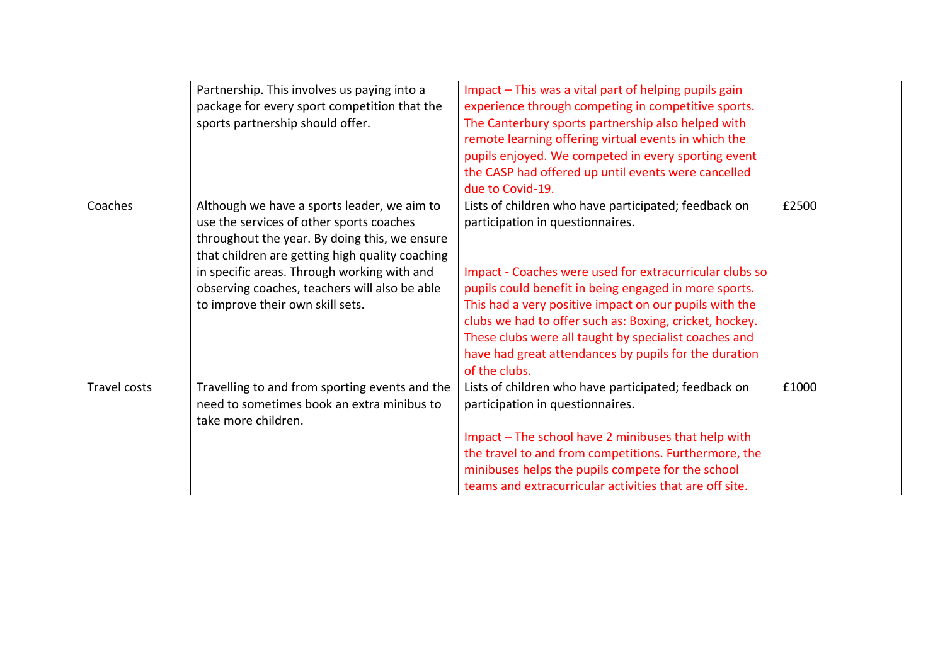|              | Partnership. This involves us paying into a     | Impact - This was a vital part of helping pupils gain   |       |
|--------------|-------------------------------------------------|---------------------------------------------------------|-------|
|              | package for every sport competition that the    | experience through competing in competitive sports.     |       |
|              | sports partnership should offer.                | The Canterbury sports partnership also helped with      |       |
|              |                                                 | remote learning offering virtual events in which the    |       |
|              |                                                 | pupils enjoyed. We competed in every sporting event     |       |
|              |                                                 | the CASP had offered up until events were cancelled     |       |
|              |                                                 | due to Covid-19.                                        |       |
| Coaches      | Although we have a sports leader, we aim to     | Lists of children who have participated; feedback on    | £2500 |
|              | use the services of other sports coaches        | participation in questionnaires.                        |       |
|              | throughout the year. By doing this, we ensure   |                                                         |       |
|              | that children are getting high quality coaching |                                                         |       |
|              | in specific areas. Through working with and     | Impact - Coaches were used for extracurricular clubs so |       |
|              | observing coaches, teachers will also be able   | pupils could benefit in being engaged in more sports.   |       |
|              | to improve their own skill sets.                | This had a very positive impact on our pupils with the  |       |
|              |                                                 | clubs we had to offer such as: Boxing, cricket, hockey. |       |
|              |                                                 | These clubs were all taught by specialist coaches and   |       |
|              |                                                 | have had great attendances by pupils for the duration   |       |
|              |                                                 | of the clubs.                                           |       |
| Travel costs | Travelling to and from sporting events and the  | Lists of children who have participated; feedback on    | £1000 |
|              | need to sometimes book an extra minibus to      | participation in questionnaires.                        |       |
|              | take more children.                             |                                                         |       |
|              |                                                 | Impact - The school have 2 minibuses that help with     |       |
|              |                                                 | the travel to and from competitions. Furthermore, the   |       |
|              |                                                 | minibuses helps the pupils compete for the school       |       |
|              |                                                 | teams and extracurricular activities that are off site. |       |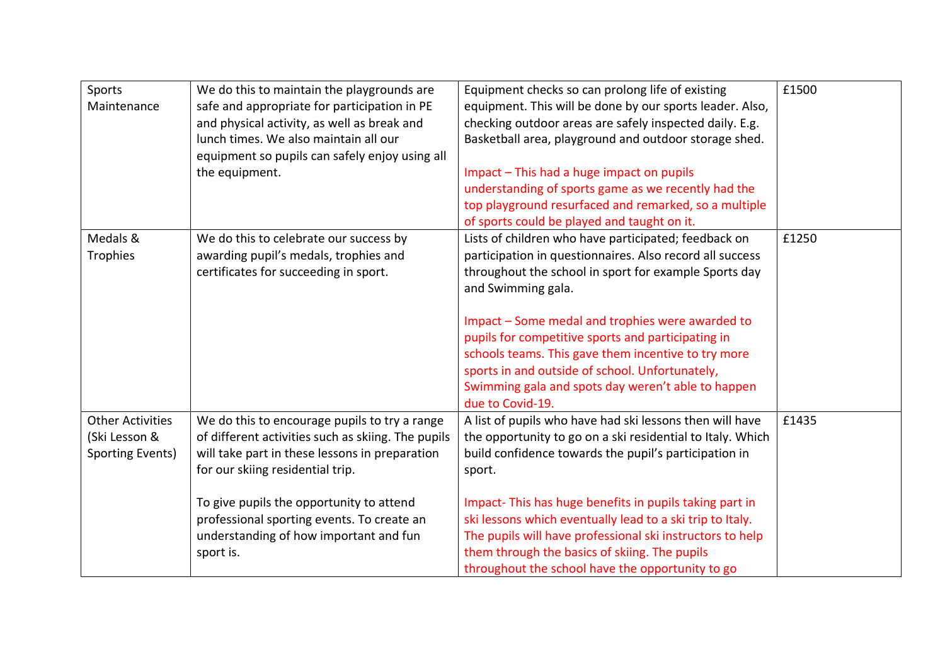| Sports<br>Maintenance                                        | We do this to maintain the playgrounds are<br>safe and appropriate for participation in PE<br>and physical activity, as well as break and<br>lunch times. We also maintain all our<br>equipment so pupils can safely enjoy using all<br>the equipment.                                                                                     | Equipment checks so can prolong life of existing<br>equipment. This will be done by our sports leader. Also,<br>checking outdoor areas are safely inspected daily. E.g.<br>Basketball area, playground and outdoor storage shed.<br>Impact - This had a huge impact on pupils<br>understanding of sports game as we recently had the<br>top playground resurfaced and remarked, so a multiple<br>of sports could be played and taught on it.                                                  | £1500 |
|--------------------------------------------------------------|--------------------------------------------------------------------------------------------------------------------------------------------------------------------------------------------------------------------------------------------------------------------------------------------------------------------------------------------|-----------------------------------------------------------------------------------------------------------------------------------------------------------------------------------------------------------------------------------------------------------------------------------------------------------------------------------------------------------------------------------------------------------------------------------------------------------------------------------------------|-------|
| Medals &<br>Trophies                                         | We do this to celebrate our success by<br>awarding pupil's medals, trophies and<br>certificates for succeeding in sport.                                                                                                                                                                                                                   | Lists of children who have participated; feedback on<br>participation in questionnaires. Also record all success<br>throughout the school in sport for example Sports day<br>and Swimming gala.<br>Impact - Some medal and trophies were awarded to<br>pupils for competitive sports and participating in<br>schools teams. This gave them incentive to try more<br>sports in and outside of school. Unfortunately,<br>Swimming gala and spots day weren't able to happen<br>due to Covid-19. | £1250 |
| <b>Other Activities</b><br>(Ski Lesson &<br>Sporting Events) | We do this to encourage pupils to try a range<br>of different activities such as skiing. The pupils<br>will take part in these lessons in preparation<br>for our skiing residential trip.<br>To give pupils the opportunity to attend<br>professional sporting events. To create an<br>understanding of how important and fun<br>sport is. | A list of pupils who have had ski lessons then will have<br>the opportunity to go on a ski residential to Italy. Which<br>build confidence towards the pupil's participation in<br>sport.<br>Impact-This has huge benefits in pupils taking part in<br>ski lessons which eventually lead to a ski trip to Italy.<br>The pupils will have professional ski instructors to help<br>them through the basics of skiing. The pupils<br>throughout the school have the opportunity to go            | £1435 |